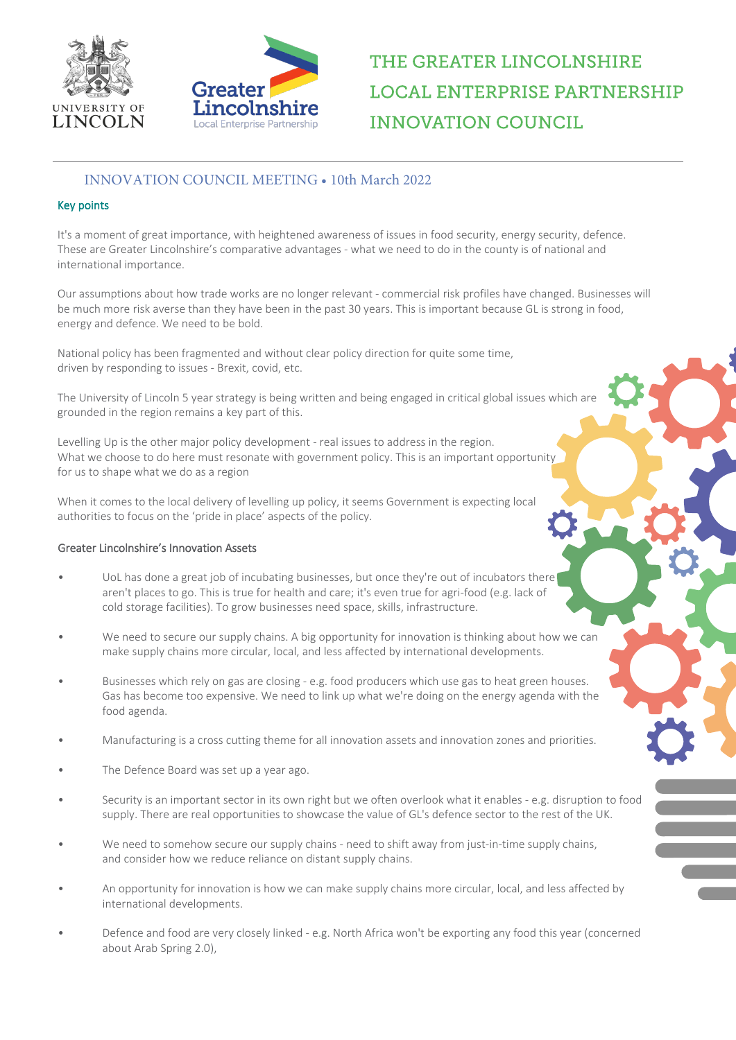



# THE GREATER LINCOLNSHIRE **LOCAL ENTERPRISE PARTNERSHIP INNOVATION COUNCIL**

## INNOVATION COUNCIL MEETING • 10th March 2022

### Key points

It's a moment of great importance, with heightened awareness of issues in food security, energy security, defence. These are Greater Lincolnshire's comparative advantages - what we need to do in the county is of national and international importance.

Our assumptions about how trade works are no longer relevant - commercial risk profiles have changed. Businesses will be much more risk averse than they have been in the past 30 years. This is important because GL is strong in food, energy and defence. We need to be bold.

National policy has been fragmented and without clear policy direction for quite some time, driven by responding to issues - Brexit, covid, etc.

The University of Lincoln 5 year strategy is being written and being engaged in critical global issues which are grounded in the region remains a key part of this.

Levelling Up is the other major policy development - real issues to address in the region. What we choose to do here must resonate with government policy. This is an important opportunity for us to shape what we do as a region

When it comes to the local delivery of levelling up policy, it seems Government is expecting local authorities to focus on the 'pride in place' aspects of the policy.

#### Greater Lincolnshire's Innovation Assets

- UoL has done a great job of incubating businesses, but once they're out of incubators there aren't places to go. This is true for health and care; it's even true for agri-food (e.g. lack of cold storage facilities). To grow businesses need space, skills, infrastructure.
- We need to secure our supply chains. A big opportunity for innovation is thinking about how we can make supply chains more circular, local, and less affected by international developments.
- Businesses which rely on gas are closing e.g. food producers which use gas to heat green houses. Gas has become too expensive. We need to link up what we're doing on the energy agenda with the food agenda.
- Manufacturing is a cross cutting theme for all innovation assets and innovation zones and priorities.
- The Defence Board was set up a year ago.
- Security is an important sector in its own right but we often overlook what it enables e.g. disruption to food supply. There are real opportunities to showcase the value of GL's defence sector to the rest of the UK.
- We need to somehow secure our supply chains need to shift away from just-in-time supply chains, and consider how we reduce reliance on distant supply chains.
- An opportunity for innovation is how we can make supply chains more circular, local, and less affected by international developments.
- Defence and food are very closely linked e.g. North Africa won't be exporting any food this year (concerned about Arab Spring 2.0),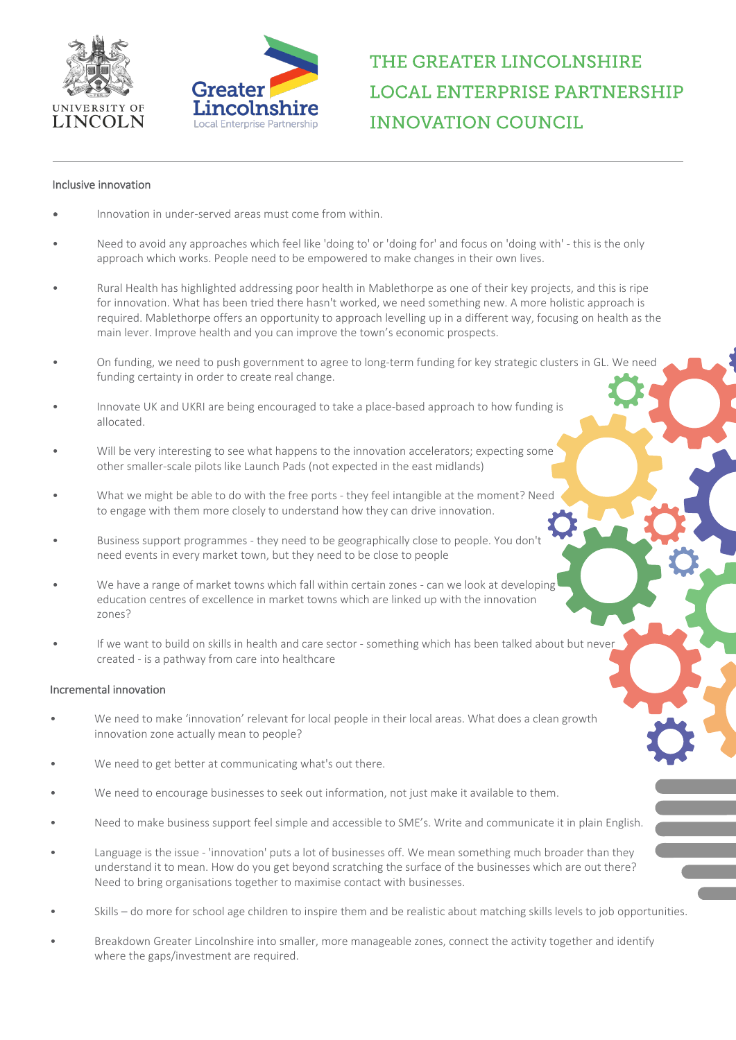



THE GREATER LINCOLNSHIRE **LOCAL ENTERPRISE PARTNERSHIP INNOVATION COUNCIL** 

#### Inclusive innovation

- Innovation in under-served areas must come from within.
- Need to avoid any approaches which feel like 'doing to' or 'doing for' and focus on 'doing with' this is the only approach which works. People need to be empowered to make changes in their own lives.
- Rural Health has highlighted addressing poor health in Mablethorpe as one of their key projects, and this is ripe for innovation. What has been tried there hasn't worked, we need something new. A more holistic approach is required. Mablethorpe offers an opportunity to approach levelling up in a different way, focusing on health as the main lever. Improve health and you can improve the town's economic prospects.
- On funding, we need to push government to agree to long-term funding for key strategic clusters in GL. We need funding certainty in order to create real change.
- Innovate UK and UKRI are being encouraged to take a place-based approach to how funding is allocated.
- Will be very interesting to see what happens to the innovation accelerators; expecting some other smaller-scale pilots like Launch Pads (not expected in the east midlands)
- What we might be able to do with the free ports they feel intangible at the moment? Need to engage with them more closely to understand how they can drive innovation.
- Business support programmes they need to be geographically close to people. You don't need events in every market town, but they need to be close to people
- We have a range of market towns which fall within certain zones can we look at developing education centres of excellence in market towns which are linked up with the innovation zones?
- If we want to build on skills in health and care sector something which has been talked about but never created - is a pathway from care into healthcare

#### Incremental innovation

- We need to make 'innovation' relevant for local people in their local areas. What does a clean growth innovation zone actually mean to people?
- We need to get better at communicating what's out there.
- We need to encourage businesses to seek out information, not just make it available to them.
- Need to make business support feel simple and accessible to SME's. Write and communicate it in plain English.
- Language is the issue 'innovation' puts a lot of businesses off. We mean something much broader than they understand it to mean. How do you get beyond scratching the surface of the businesses which are out there? Need to bring organisations together to maximise contact with businesses.
- Skills do more for school age children to inspire them and be realistic about matching skills levels to job opportunities.
- Breakdown Greater Lincolnshire into smaller, more manageable zones, connect the activity together and identify where the gaps/investment are required.